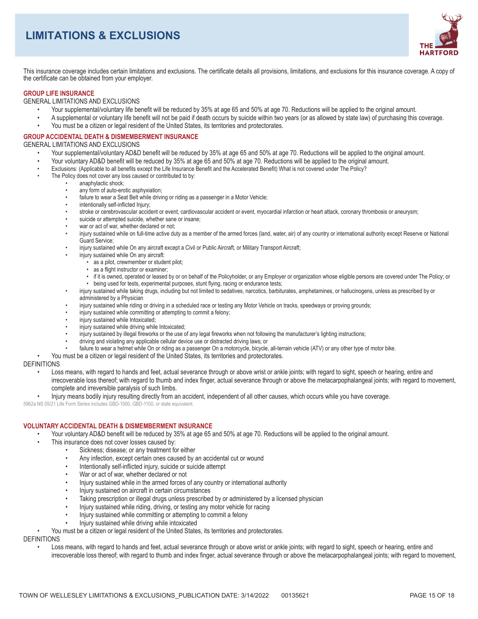# **LIMITATIONS & EXCLUSIONS**



This insurance coverage includes certain limitations and exclusions. The certificate details all provisions, limitations, and exclusions for this insurance coverage. A copy of the certificate can be obtained from your employer.

## **GROUP LIFE INSURANCE**

**GENERAL LIMITATIONS AND EXCLUSIONS** 

- Your supplemental/voluntary life benefit will be reduced by 35% at age 65 and 50% at age 70. Reductions will be applied to the original amount.
- A supplemental or voluntary life benefit will not be paid if death occurs by suicide within two years (or as allowed by state law) of purchasing this coverage.
- You must be a citizen or legal resident of the United States, its territories and protectorates.

### **GROUP ACCIDENTAL DEATH & DISMEMBERMENT INSURANCE**

**GENERAL LIMITATIONS AND EXCLUSIONS** 

- Your supplemental/voluntary AD&D benefit will be reduced by 35% at age 65 and 50% at age 70. Reductions will be applied to the original amount.
- Your voluntary AD&D benefit will be reduced by 35% at age 65 and 50% at age 70. Reductions will be applied to the original amount.
- Exclusions: (Applicable to all benefits except the Life Insurance Benefit and the Accelerated Benefit) What is not covered under The Policy?
- The Policy does not cover any loss caused or contributed to by:
	- anaphylactic shock;
	- $\ddot{\phantom{a}}$ any form of auto-erotic asphyxiation;
	- failure to wear a Seat Belt while driving or riding as a passenger in a Motor Vehicle;  $\bullet$
	- intentionally self-inflicted Injury;
	- stroke or cerebrovascular accident or event, cardiovascular accident or event, myocardial infarction or heart attack, coronary thrombosis or aneurysm;
	- suicide or attempted suicide, whether sane or insane;
	- war or act of war, whether declared or not;
	- injury sustained while on full-time active duty as a member of the armed forces (land, water, air) of any country or international authority except Reserve or National Guard Service:
	- injury sustained while On any aircraft except a Civil or Public Aircraft, or Military Transport Aircraft;
		- injury sustained while On any aircraft:
			- as a pilot, crewmember or student pilot;
			- · as a flight instructor or examiner:
			- if it is owned, operated or leased by or on behalf of the Policyholder, or any Employer or organization whose eligible persons are covered under The Policy; or
		- being used for tests, experimental purposes, stunt flying, racing or endurance tests;
	- injury sustained while taking drugs, including but not limited to sedatives, narcotics, barbiturates, amphetamines, or hallucinogens, unless as prescribed by or administered by a Physician
	- injury sustained while riding or driving in a scheduled race or testing any Motor Vehicle on tracks, speedways or proving grounds;
	- injury sustained while committing or attempting to commit a felony;
	- injury sustained while Intoxicated;
	- injury sustained while driving while Intoxicated;
	- injury sustained by illegal fireworks or the use of any legal fireworks when not following the manufacturer's lighting instructions;
	- driving and violating any applicable cellular device use or distracted driving laws; or
	- failure to wear a helmet while On or riding as a passenger On a motorcycle, bicycle, all-terrain vehicle (ATV) or any other type of motor bike.
	- You must be a citizen or legal resident of the United States, its territories and protectorates.

### **DEFINITIONS**

- Loss means, with regard to hands and feet, actual severance through or above wrist or ankle joints; with regard to sight, speech or hearing, entire and irrecoverable loss thereof; with regard to thumb and index finger, actual severance through or above the metacarpophalangeal joints; with regard to movement, complete and irreversible paralysis of such limbs.
- Injury means bodily injury resulting directly from an accident, independent of all other causes, which occurs while you have coverage.

5962a NS 05/21 Life Form Series includes GBD-1000, GBD-1100, or state equivalent.

### **VOLUNTARY ACCIDENTAL DEATH & DISMEMBERMENT INSURANCE**

Your voluntary AD&D benefit will be reduced by 35% at age 65 and 50% at age 70. Reductions will be applied to the original amount.

- This insurance does not cover losses caused by:
	- Sickness: disease: or any treatment for either
	- Any infection, except certain ones caused by an accidental cut or wound  $\bullet$
	- Intentionally self-inflicted injury, suicide or suicide attempt  $\bullet$
	- War or act of war, whether declared or not  $\bullet$
	- Injury sustained while in the armed forces of any country or international authority
	- Injury sustained on aircraft in certain circumstances
	- Taking prescription or illegal drugs unless prescribed by or administered by a licensed physician
	- Injury sustained while riding, driving, or testing any motor vehicle for racing
	- Injury sustained while committing or attempting to commit a felony
	- Injury sustained while driving while intoxicated

You must be a citizen or legal resident of the United States, its territories and protectorates.

**DEFINITIONS** 

Loss means, with regard to hands and feet, actual severance through or above wrist or ankle joints; with regard to sight, speech or hearing, entire and irrecoverable loss thereof; with regard to thumb and index finger, actual severance through or above the metacarpophalangeal joints; with regard to movement,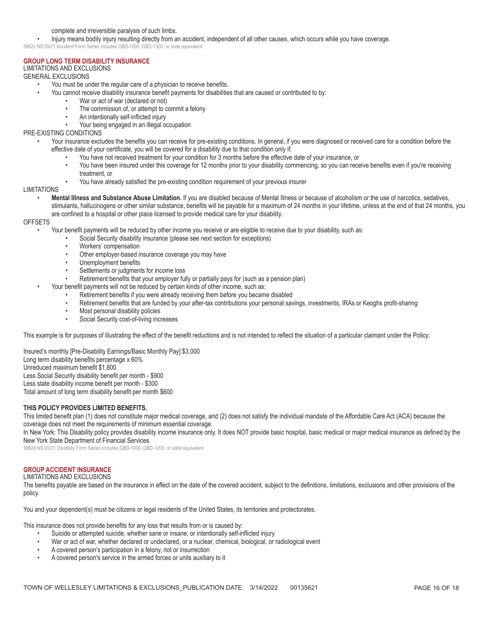### complete and irreversible paralysis of such limbs.

Injury means bodily injury resulting directly from an accident, independent of all other causes, which occurs while you have coverage.

5962c NS 05/21 Accident Form Series includes GBD-1000. GBD-1300, or state equivalent.

# **GROUP LONG TERM DISABILITY INSURANCE**

# **LIMITATIONS AND EXCLUSIONS**

# **GENERAL EXCLUSIONS**

- You must be under the regular care of a physician to receive benefits.
	- You cannot receive disability insurance benefit payments for disabilities that are caused or contributed to by:
		- War or act of war (declared or not)
		- The commission of, or attempt to commit a felony  $\bullet$
		- An intentionally self-inflicted injury
		- Your being engaged in an illegal occupation

# PRE-EXISTING CONDITIONS

- Your insurance excludes the benefits you can receive for pre-existing conditions. In general, if you were diagnosed or received care for a condition before the effective date of your certificate, you will be covered for a disability due to that condition only if:
	- You have not received treatment for your condition for 3 months before the effective date of your insurance, or
	- You have been insured under this coverage for 12 months prior to your disability commencing, so you can receive benefits even if you're receiving treatment, or
	- You have already satisfied the pre-existing condition requirement of your previous insurer

### **LIMITATIONS**

- Mental Illness and Substance Abuse Limitation. If you are disabled because of Mental Illness or because of alcoholism or the use of narcotics, sedatives, stimulants, hallucinogens or other similar substance, benefits will be payable for a maximum of 24 months in your lifetime, unless at the end of that 24 months, you
- are confined to a hospital or other place licensed to provide medical care for your disability.

### **OFFSETS**

- Your benefit payments will be reduced by other income you receive or are eligible to receive due to your disability, such as:
	- Social Security disability insurance (please see next section for exceptions)
	- Workers' compensation
	- Other employer-based insurance coverage you may have
	- Unemployment benefits
	- Settlements or judgments for income loss
	- Retirement benefits that your employer fully or partially pays for (such as a pension plan)
- Your benefit payments will not be reduced by certain kinds of other income, such as:
	- $\bullet$ Retirement benefits if you were already receiving them before you became disabled
	- Retirement benefits that are funded by your after-tax contributions your personal savings, investments, IRAs or Keoghs profit-sharing  $\bullet$
	- $\bullet$ Most personal disability policies
	- Social Security cost-of-living increases  $\bullet$

This example is for purposes of illustrating the effect of the benefit reductions and is not intended to reflect the situation of a particular claimant under the Policy:

Insured's monthly [Pre-Disability Earnings/Basic Monthly Pay] \$3,000 Long term disability benefits percentage x 60% Unreduced maximum benefit \$1,800 Less Social Security disability benefit per month - \$900 Less state disability income benefit per month - \$300 Total amount of long term disability benefit per month \$600

## THIS POLICY PROVIDES LIMITED BENEFITS.

This limited benefit plan (1) does not constitute major medical coverage, and (2) does not satisfy the individual mandate of the Affordable Care Act (ACA) because the coverage does not meet the requirements of minimum essential coverage.

In New York: This Disability policy provides disability income insurance only. It does NOT provide basic hospital, basic medical or major medical insurance as defined by the New York State Department of Financial Services.

5962d NS 05/21 Disability Form Series includes GBD-1000, GBD-1200, or state equivalent.

# **GROUP ACCIDENT INSURANCE**

# **LIMITATIONS AND EXCLUSIONS**

The benefits payable are based on the insurance in effect on the date of the covered accident, subject to the definitions, limitations, exclusions and other provisions of the policy.

You and your dependent(s) must be citizens or legal residents of the United States, its territories and protectorates.

This insurance does not provide benefits for any loss that results from or is caused by:

- Suicide or attempted suicide, whether sane or insane, or intentionally self-inflicted injury
- War or act of war, whether declared or undeclared, or a nuclear, chemical, biological, or radiological event
- A covered person's participation in a felony, riot or insurrection
- A covered person's service in the armed forces or units auxiliary to it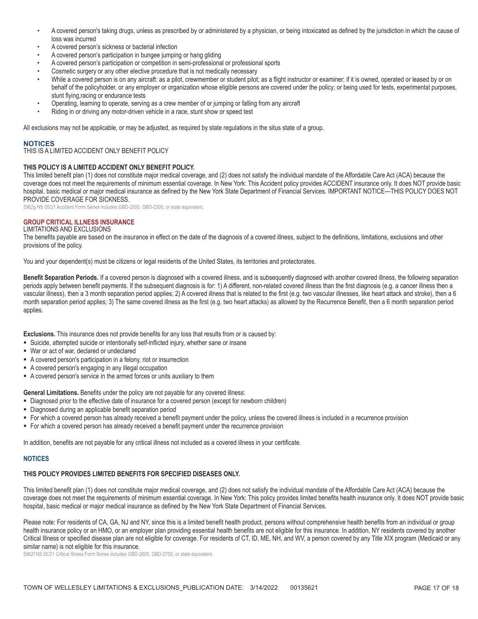- A covered person's taking drugs, unless as prescribed by or administered by a physician, or being intoxicated as defined by the jurisdiction in which the cause of loss was incurred
- A covered person's sickness or bacterial infection
- A covered person's participation in bungee jumping or hang gliding
- A covered person's participation or competition in semi-professional or professional sports
- Cosmetic surgery or any other elective procedure that is not medically necessary
- While a covered person is on any aircraft: as a pilot, crewmember or student pilot; as a flight instructor or examiner; if it is owned, operated or leased by or on behalf of the policyholder, or any employer or organization whose eligible persons are covered under the policy; or being used for tests, experimental purposes, stunt flying, racing or endurance tests
- Operating, learning to operate, serving as a crew member of or jumping or falling from any aircraft
- Riding in or driving any motor-driven vehicle in a race, stunt show or speed test

All exclusions may not be applicable, or may be adjusted, as required by state requlations in the situs state of a group.

### **NOTICES**

THIS IS A LIMITED ACCIDENT ONLY BENEFIT POLICY

## THIS POLICY IS A LIMITED ACCIDENT ONLY BENEFIT POLICY.

This limited benefit plan (1) does not constitute major medical coverage, and (2) does not satisfy the individual mandate of the Affordable Care Act (ACA) because the coverage does not meet the requirements of minimum essential coverage. In New York: This Accident policy provides ACCIDENT insurance only. It does NOT provide basic hospital, basic medical or major medical insurance as defined by the New York State Department of Financial Services. IMPORTANT NOTICE-THIS POLICY DOES NOT PROVIDE COVERAGE FOR SICKNESS.

5962g NS 05/21 Accident Form Series includes GBD-2000, GBD-2300, or state equivalent.

# **GROUP CRITICAL ILLNESS INSURANCE**

# **LIMITATIONS AND EXCLUSIONS**

The benefits payable are based on the insurance in effect on the date of the diagnosis of a covered illness, subject to the definitions, limitations, exclusions and other provisions of the policy.

You and your dependent(s) must be citizens or legal residents of the United States, its territories and protectorates.

Benefit Separation Periods. If a covered person is diagnosed with a covered illness, and is subsequently diagnosed with another covered illness, the following separation periods apply between benefit payments. If the subsequent diagnosis is for: 1) A different, non-related covered illness than the first diagnosis (e.g. a cancer illness then a vascular illness), then a 3 month separation period applies; 2) A covered illness that is related to the first (e.g. two vascular illnesses, like heart attack and stroke), then a 6 month separation period applies; 3) The same covered illness as the first (e.g. two heart attacks) as allowed by the Recurrence Benefit, then a 6 month separation period applies.

Exclusions. This insurance does not provide benefits for any loss that results from or is caused by:

- Suicide, attempted suicide or intentionally self-inflicted injury, whether sane or insane
- War or act of war, declared or undeclared
- A covered person's participation in a felony, riot or insurrection
- A covered person's engaging in any illegal occupation
- A covered person's service in the armed forces or units auxiliary to them

General Limitations. Benefits under the policy are not payable for any covered illness:

- Diagnosed prior to the effective date of insurance for a covered person (except for newborn children)
- " Diagnosed during an applicable benefit separation period
- For which a covered person has already received a benefit payment under the policy, unless the covered illness is included in a recurrence provision
- For which a covered person has already received a benefit payment under the recurrence provision

In addition, benefits are not payable for any critical illness not included as a covered illness in your certificate.

### **NOTICES**

### THIS POLICY PROVIDES LIMITED BENEFITS FOR SPECIFIED DISEASES ONLY.

This limited benefit plan (1) does not constitute major medical coverage, and (2) does not satisfy the individual mandate of the Affordable Care Act (ACA) because the coverage does not meet the requirements of minimum essential coverage. In New York: This policy provides limited benefits health insurance only. It does NOT provide basic hospital, basic medical or major medical insurance as defined by the New York State Department of Financial Services.

Please note: For residents of CA, GA, NJ and NY, since this is a limited benefit health product, persons without comprehensive health benefits from an individual or group health insurance policy or an HMO, or an employer plan providing essential health benefits are not eligible for this insurance. In addition, NY residents covered by another Critical Illness or specified disease plan are not eligible for coverage. For residents of CT, ID, ME, NH, and WV, a person covered by any Title XIX program (Medicaid or any similar name) is not eligible for this insurance.

5962f NS 05/21 Critical Illness Form Series includes GBD-2600, GBD-2700, or state equivalent.